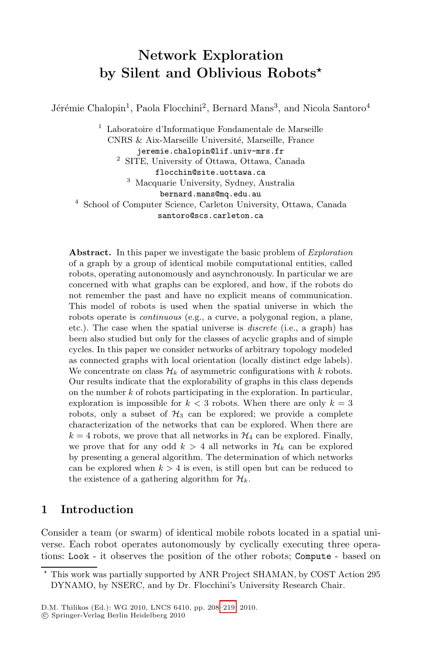# **Network Exploration by Silent and Oblivious Robots***-*

Jérémie Chalopin<sup>1</sup>, Paola Flocchini<sup>2</sup>, Bernard Mans<sup>3</sup>, and Nicola Santoro<sup>4</sup>

<sup>1</sup> Laboratoire d'Informatique Fondamentale de Marseille CNRS & Aix-Marseille Université, Marseille, France jeremie.chalopin@lif.univ-mrs.fr <sup>2</sup> SITE, University of Ottawa, Ottawa, Canada flocchin@site.uottawa.ca <sup>3</sup> Macquarie University, Sydney, Australia bernard.mans@mq.edu.au <sup>4</sup> School of Computer Science, Carleton University, Ottawa, Canada santoro@scs.carleton.ca

**Abstract.** In this paper we investigate the basic problem of *Exploration* of a graph by a group of identical mobile computational entities, called robots, operating autonomously and asynchronously. In particular we are concerned with what graphs can be explored, and how, if the robots do not remember the past and have no explicit means of communication. This model of robots is used when the spatial universe in which the robots operate is *continuous* (e.g., a curve, a polygonal region, a plane, etc.). The case when the spatial universe is *discrete* (i.e., a graph) has been also studied but only for the classes of acyclic graphs and of simple cycles. In this paper we consider networks of arbitrary topology modeled as connected graphs with local orientation (locally distinct edge labels). We concentrate on class  $\mathcal{H}_k$  of asymmetric configurations with  $k$  robots. Our results indicate that the explorability of graphs in this class depends on the number *k* of robots participating in the exploration. In particular, exploration is impossible for  $k < 3$  robots. When there are only  $k = 3$ robots, only a subset of  $H_3$  can be explored; we provide a complete characterization of the networks that can be explored. When there are  $k = 4$  robots, we prove that all networks in  $H_4$  can be explored. Finally, we prove that for any odd  $k > 4$  all networks in  $\mathcal{H}_k$  can be explored by presenting a general algorithm. The determination of which networks can be explored when  $k > 4$  is even, is still open but can be reduced to the existence of a gathering algorithm for  $\mathcal{H}_k$ .

## **1 Introduction**

Consider a team (or swarm) of identical mobile robots located in a spatial universe. Each robot operates autonomously by cyclically executing three operations: Look - it observes the position of the other robots; Compute - based on

 $\star$  This work was partially supported by ANR Project SHAMAN, by COST Action 295 DYNAMO, by NSERC, and by Dr. Flocchini's University Research Chair.

D.M. Thilikos (Ed.): WG 2010, LNCS 6410, pp. 208–219, 2010.

<sup>-</sup>c Springer-Verlag Berlin Heidelberg 2010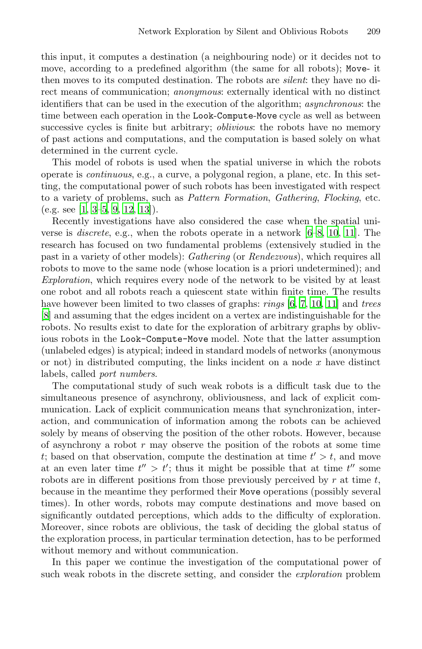this input, it computes a destination (a neighbouring node) or it decides not to move, according to a predefined algorithm (the same for all robots); Move- it then moves to its computed destination. The robots are *silent*: they have no direct means of communication; *anonymous*: externally identical with no distinct identifiers that can be used in the execution of the algorithm; *asynchronous*: the [tim](#page-11-0)[e b](#page-11-1)etween each operation in the Look-Compute-Move cycle as well as between successive cycles is finite but arbitrary; *oblivious*: the robots have no memory of past actions and computations, and the [co](#page-11-2)[m](#page-11-3)[puta](#page-11-4)[tion](#page-11-5) is based solely on what determined in the current cycle.

This model of robots is used when the spatial universe in which the robots operate is *continuous*, e.g., a curve, a polygonal region, a plane, etc. In this setting, the computational power of such robots has been investigated with respect to a variety of problems, such as *Pattern Formation*, *Gathering*, *Flocking*, etc. (e.g. see [1, 3–5, 9, 12, 13]).

Recently investigations have also c[on](#page-11-2)s[id](#page-11-6)[ered](#page-11-4) [th](#page-11-5)e case when the spatial universe is *discrete*, e.g., when the robots operate in a network [6–8, 10, 11]. The research has focused on two fundamental problems (extensively studied in the past in a variety of other models): *Gathering* (or *Rendezvous*), which requires all robots to move to the same node (whose location is a priori undetermined); and *Exploration*, which requires every node of the network to be visited by at least one robot and all robots reach a quiescent state within finite time. The results have however been limited to two classes of graphs: *rings* [6, 7, 10, 11] and *trees* [8] and assuming that the edges incident on a vertex are indistinguishable for the robots. No results exist to date for the exploration of arbitrary graphs by oblivious robots in the Look-Compute-Move model. Note that the latter assumption (unlabeled edges) is atypical; indeed in standard models of networks (anonymous or not) in distributed computing, the links incident on a node  $x$  have distinct labels, called *port numbers*.

The computational study of such weak robots is a difficult task due to the simultaneous presence of asynchrony, obliviousness, and lack of explicit communication. Lack of explicit communication means that synchronization, interaction, and communication of information among the robots can be achieved solely by means of observing the position of the other robots. However, because of asynchrony a robot  $r$  may observe the position of the robots at some time t; based on that observation, compute the destination at time  $t' > t$ , and move at an even later time  $t'' > t'$ ; thus it might be possible that at time  $t''$  some robots are in different positions from those previously perceived by  $r$  at time  $t$ , because in the meantime they performed their Move operations (possibly several times). In other words, robots may compute destinations and move based on significantly outdated perceptions, which adds to the difficulty of exploration. Moreover, since robots are oblivious, the task of deciding the global status of the exploration process, in particular termination detection, has to be performed without memory and without communication.

In this paper we continue the investigation of the computational power of such weak robots in the discrete setting, and consider the *exploration* problem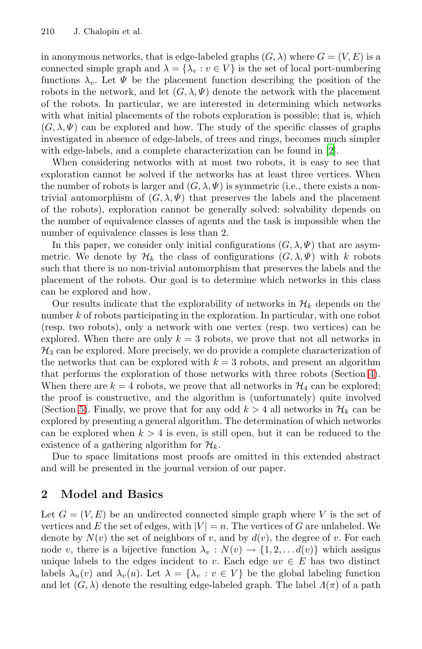in anonymous networks, that is edge-labeled gra[ph](#page-11-7)s  $(G, \lambda)$  where  $G = (V, E)$  is a connected simple graph and  $\lambda = {\lambda_v : v \in V}$  is the set of local port-numbering functions  $\lambda_n$ . Let  $\Psi$  be the placement function describing the position of the robots in the network, and let  $(G, \lambda, \Psi)$  denote the network with the placement of the robots. In particular, we are interested in determining which networks with what initial placements of the robots exploration is possible; that is, which  $(G, \lambda, \Psi)$  can be explored and how. The study of the specific classes of graphs investigated in absence of edge-labels, of trees and rings, becomes much simpler with edge-labels, and a complete characterization can be found in [2].

When considering networks with at most two robots, it is easy to see that exploration cannot be solved if the networks has at least three vertices. When the number of robots is larger and  $(G, \lambda, \Psi)$  is symmetric (i.e., there exists a nontrivial automorphism of  $(G, \lambda, \Psi)$  that preserves the labels and the placement of the robots), exploration cannot be generally solved: solvability depends on the number of equivalence classes of agents and the task is impossible when the number of equivalence classes is less than 2.

In this paper, we consider only initial configurations  $(G, \lambda, \Psi)$  that are asymmetric. We denote by  $\mathcal{H}_k$  the class of configurations  $(G, \lambda, \Psi)$  with k robots such that there is no non-trivial automorphism that preserves the labels and the placement of the robots. Our goal is to determine which [ne](#page-5-0)tworks in this class can be explored and how.

Our results indicate that the explorability of networks in  $\mathcal{H}_k$  depends on the number k of robots participating in the exploration. In particular, with one robot (resp. two robots), only a network with one vertex (resp. two vertices) can be explored. When there are only  $k = 3$  robots, we prove that not all networks in  $\mathcal{H}_3$  can be explored. More precisely, we do provide a complete characterization of the networks that can be explored with  $k = 3$  robots, and present an algorithm that performs the exploration of those networks with three robots (Section 4). When there are  $k = 4$  robots, we prove that all networks in  $\mathcal{H}_4$  can be explored; the proof is constructive, and the algorithm is (unfortunately) quite involved (Section 5). Finally, we prove that for any odd  $k > 4$  all networks in  $\mathcal{H}_k$  can be explored by presenting a general algorithm. The determination of which networks can be explored when  $k > 4$  is even, is still open, but it can be reduced to the existence of a gathering algorithm for  $\mathcal{H}_k$ .

Due to space limitations most proofs are omitted in this extended abstract and will be presented in the journal version of our paper.

#### **2 Model and Basics**

Let  $G = (V, E)$  be an undirected connected simple graph where V is the set of vertices and E the set of edges, with  $|V| = n$ . The vertices of G are unlabeled. We denote by  $N(v)$  the set of neighbors of v, and by  $d(v)$ , the degree of v. For each node v, there is a bijective function  $\lambda_v : N(v) \to \{1, 2, \ldots d(v)\}$  which assigns unique labels to the edges incident to v. Each edge  $uv \in E$  has two distinct labels  $\lambda_u(v)$  and  $\lambda_v(u)$ . Let  $\lambda = {\lambda_v : v \in V}$  be the global labeling function and let  $(G, \lambda)$  denote the resulting edge-labeled graph. The label  $\Lambda(\pi)$  of a path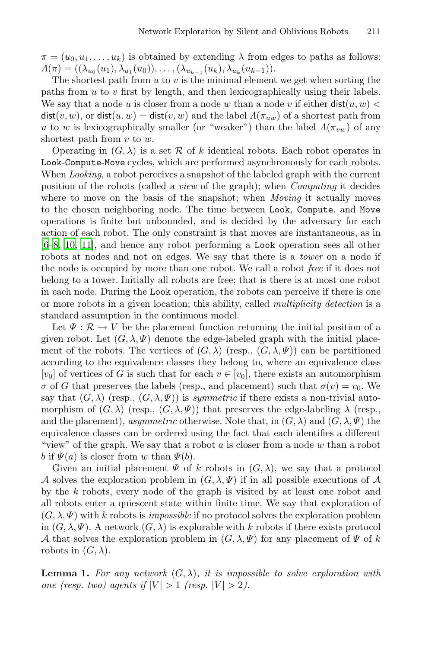$\pi = (u_0, u_1, \dots, u_k)$  is obtained by extending  $\lambda$  from edges to paths as follows:  $\Lambda(\pi) = ((\lambda_{u_0}(u_1), \lambda_{u_1}(u_0)), \ldots, (\lambda_{u_{k-1}}(u_k), \lambda_{u_k}(u_{k-1})).$ 

The shortest path from  $u$  to  $v$  is the minimal element we get when sorting the paths from  $u$  to  $v$  first by length, and then lexicographically using their labels. We say that a node u is closer from a node w than a node v if either  $dist(u, w)$  $dist(v, w)$ , or  $dist(u, w) = dist(v, w)$  and the label  $\Lambda(\pi_{uw})$  of a shortest path from u to w is lexicographically smaller (or "weaker") than the label  $\Lambda(\pi_{vw})$  of any shortest path from  $v$  to  $w$ .

Operating in  $(G, \lambda)$  is a set R of k identical robots. Each robot operates in Look-Compute-Move cycles, which are performed asynchronously for each robots. When *Looking*, a robot perceives a snapshot of the labeled graph with the current position of the robots (called a *view* of the graph); when *Computing* it decides where to move on the basis of the snapshot; when *Moving* it actually moves to the chosen neighboring node. The time between Look, Compute, and Move operations is finite but unbounded, and is decided by the adversary for each action of each robot. The only constraint is that moves are instantaneous, as in [6–8, 10, 11], and hence any robot performing a Look operation sees all other robots at nodes and not on edges. We say that there is a *tower* on a node if the node is occupied by more than one robot. We call a robot *free* if it does not belong to a tower. Initially all robots are free; that is there is at most one robot in each node. During the Look operation, the robots can perceive if there is one or more robots in a given location; this ability, called *multiplicity detection* is a standard assumption in the continuous model.

Let  $\Psi : \mathcal{R} \to V$  be the placement function returning the initial position of a given robot. Let  $(G, \lambda, \Psi)$  denote the edge-labeled graph with the initial placement of the robots. The vertices of  $(G, \lambda)$  (resp.,  $(G, \lambda, \Psi)$ ) can be partitioned according to the equivalence classes they belong to, where an equivalence class [v<sub>0</sub>] of vertices of G is such that for each  $v \in [v_0]$ , there exists an automorphism  $\sigma$  of G that preserves the labels (resp., and placement) such that  $\sigma(v) = v_0$ . We say that  $(G, \lambda)$  (resp.,  $(G, \lambda, \Psi)$ ) is *symmetric* if there exists a non-trivial automorphism of  $(G, \lambda)$  (resp.,  $(G, \lambda, \Psi)$ ) that preserves the edge-labeling  $\lambda$  (resp., and the placement), *asymmetric* otherwise. Note that, in  $(G, \lambda)$  and  $(G, \lambda, \Psi)$  the equivalence classes can be ordered using the fact that each identifies a different "view" of the graph. We say that a robot  $\alpha$  is closer from a node  $w$  than a robot b if  $\Psi(a)$  is closer from w than  $\Psi(b)$ .

Given an initial placement  $\Psi$  of k robots in  $(G, \lambda)$ , we say that a protocol A solves the exploration problem in  $(G, \lambda, \Psi)$  if in all possible executions of A by the k robots, every node of the graph is visited by at least one robot and all robots enter a quiescent state within finite time. We say that exploration of  $(G, \lambda, \Psi)$  with k robots is *impossible* if no protocol solves the exploration problem in  $(G, \lambda, \Psi)$ . A network  $(G, \lambda)$  is explorable with k robots if there exists protocol A that solves the exploration problem in  $(G, \lambda, \Psi)$  for any placement of  $\Psi$  of k robots in  $(G, \lambda)$ .

**Lemma 1.** For any network  $(G, \lambda)$ , it is impossible to solve exploration with *one (resp. two) agents if*  $|V| > 1$  *(resp.*  $|V| > 2$ *).*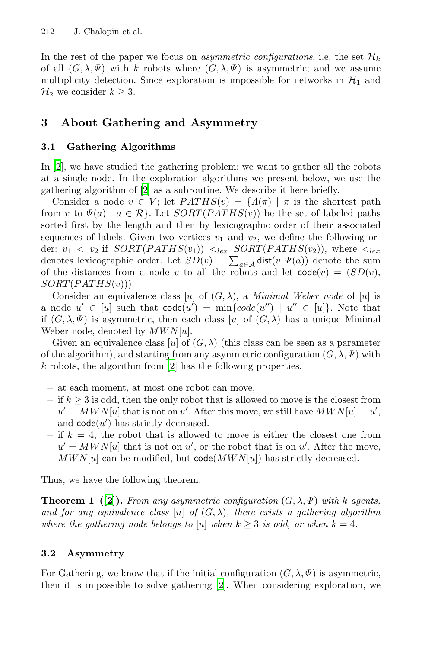In the rest of the paper we focus on *asymmetric configurations*, i.e. the set  $\mathcal{H}_k$ of all  $(G, \lambda, \Psi)$  with k robots where  $(G, \lambda, \Psi)$  is asymmetric; and we assume multiplicity detection. Since exploration is impossible for networks in  $\mathcal{H}_1$  and  $\mathcal{H}_2$  [we](#page-11-7) consider  $k \geq 3$ .

## **3 About Gathering and Asymmetry**

#### **3.1 Gathering Algorithms**

In [2], we have studied the gathering problem: we want to gather all the robots at a single node. In the exploration algorithms we present below, we use the gathering algorithm of [2] as a subroutine. We describe it here briefly.

Consider a node  $v \in V$ ; let  $PATHS(v) = \{ \Lambda(\pi) \mid \pi \text{ is the shortest path} \}$ from v to  $\Psi(a) | a \in \mathcal{R}$ . Let  $SORT(PATHS(v))$  be the set of labeled paths sorted first by the length and then by lexicographic order of their associated sequences of labels. Given two vertices  $v_1$  and  $v_2$ , we define the following order:  $v_1 \, \langle \, v_2 \, \text{if} \, \, \text{SORT}(PATHS(v_1)) \, \, \langle \, v_{ex} \, \, \text{SORT}(PATHS(v_2)) \, \, \text{where} \, \, \langle \, v_{ex} \, \, \rangle$ denotes lexicographic order. Let  $SD(v) = \sum_{a \in \mathcal{A}} \text{dist}(v, \Psi(a))$  denote the sum of the dist[an](#page-11-7)ces from a node v to all the robots and let  $\text{code}(v)=(SD(v),$  $SORT(PATHS(v))$ .

Consider an equivalence class [u] of  $(G, \lambda)$ , a *Minimal Weber node* of [u] is a node  $u' \in [u]$  such that  $\operatorname{code}(u') = \min\{code(u'') \mid u'' \in [u]\}.$  Note that if  $(G, \lambda, \Psi)$  is asymmetric, then each class [u] of  $(G, \lambda)$  has a unique Minimal Weber node, denoted by  $MWN[u]$ .

Given an equivalence class [u] of  $(G, \lambda)$  (this class can be seen as a parameter of the algorithm), and starting from any asymmetric configuration  $(G, \lambda, \Psi)$  with  $k$  robots, the algorithm from  $[2]$  has the following properties.

- **–** at each moment, at most one robot can move,
- **–** if k ≥ 3 is odd, then the only robot that is allowed to move is the closest from  $u' = MWN[u]$  that is not on u'. After this move, we still have  $MWN[u] = u'$ , and  $\text{code}(u')$  has strictly decreased.
- $-$  if  $k = 4$ , the robot that is allowed to move is either the closest one from  $u' = MWN[u]$  that is not on u', or the robot that is on u'. After the move,  $MWN[u]$  can be modified, but  $\mathbf{code}(MWN[u])$  has strictly decreased.

Thus, we have the following theorem.

**Theorem 1** ([2]). *Fr[om](#page-11-7) any asymmetric configuration*  $(G, \lambda, \Psi)$  *with* k *agents*, *and for any equivalence class* [u] *of*  $(G, \lambda)$ *, there exists a gathering algorithm where the gathering node belongs to* [u] *when*  $k \geq 3$  *is odd, or when*  $k = 4$ *.* 

#### **3.2 Asymmetry**

For Gathering, we know that if the initial configuration  $(G, \lambda, \Psi)$  is asymmetric, then it is impossible to solve gathering [2]. When considering exploration, we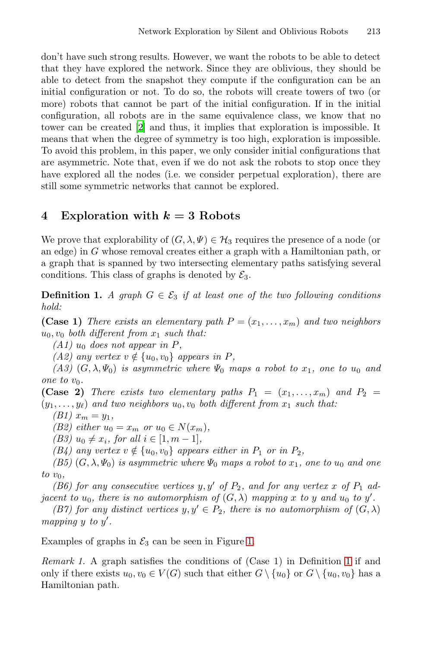<span id="page-5-0"></span>don't have such strong results. However, we want the robots to be able to detect that they have explored the network. Since they are oblivious, they should be able to detect from the snapshot they compute if the configuration can be an initial configuration or not. To do so, the robots will create towers of two (or more) robots that cannot be part of the initial configuration. If in the initial configuration, all robots are in the same equivalence class, we know that no tower can be created [2] and thus, it implies that exploration is impossible. It means that when the degree of symmetry is too high, exploration is impossible. To avoid this problem, in this paper, we only consider initial configurations that are asymmetric. Note that, even if we do not ask the robots to stop once they have explored all the nodes (i.e. we consider perpetual exploration), there are still some symmetric networks that cannot be explored.

#### <span id="page-5-1"></span>**4 Exploration with** *k* **= 3 Robots**

We prove that explorability of  $(G, \lambda, \Psi) \in \mathcal{H}_3$  requires the presence of a node (or an edge) in G whose removal creates either a graph with a Hamiltonian path, or a graph that is spanned by two intersecting elementary paths satisfying several conditions. This class of graphs is denoted by  $\mathcal{E}_3$ .

**Definition 1.** *A graph*  $G \in \mathcal{E}_3$  *if at least one of the two following conditions hold:*

**(Case 1)** *There exists an elementary path*  $P = (x_1, \ldots, x_m)$  *and two neighbors*  $u_0, v_0$  *both different from*  $x_1$  *such that:* 

 $(A1)$   $u_0$  *does not appear in*  $P$ *,* 

*(A2)* any vertex  $v \notin \{u_0, v_0\}$  appears in P,

(A3)  $(G, \lambda, \Psi_0)$  *is asymmetric where*  $\Psi_0$  *maps a robot to*  $x_1$ *, one to*  $u_0$  *and one* to  $v_0$ *.* 

**(Case 2)** *There exists two elementary paths*  $P_1 = (x_1, \ldots, x_m)$  *and*  $P_2 =$  $(y_1, \ldots, y_\ell)$  and two neighbors  $u_0, v_0$  both different from  $x_1$  such that:

$$
(B1)\ x_m=y_1,
$$

*(B2)* either  $u_0 = x_m$  or  $u_0 \in N(x_m)$ ,

*(B3)*  $u_0 ≠ x_i$ *, for all*  $i ∈ [1, m − 1]$ *,* 

*(B4)* any vertex  $v \notin \{u_0, v_0\}$  $v \notin \{u_0, v_0\}$  appears either in  $P_1$  or in  $P_2$ ,

*(B5)*  $(G, \lambda, \Psi_0)$  *is asymmetric where*  $\Psi_0$  *maps a ro[bo](#page-5-1)t to*  $x_1$ *, one to*  $u_0$  *and one to* v0*,*

*(B6) for any consecutive vertices*  $y, y'$  *of*  $P_2$ *, and for any vertex* x *of*  $P_1$  *adjacent to*  $u_0$ *, there is no automorphism of*  $(G, \lambda)$  *mapping* x to y and  $u_0$  to y'.

*(B7) for any distinct vertices*  $y, y' \in P_2$ *, there is no automorphism of*  $(G, \lambda)$ *mapping* y *to* y *.*

Examples of graphs in  $\mathcal{E}_3$  can be seen in Figure 1.

*Remark 1.* A graph satisfies the conditions of (Case 1) in Definition 1 if and only if there exists  $u_0, v_0 \in V(G)$  such that either  $G \setminus \{u_0\}$  or  $G \setminus \{u_0, v_0\}$  has a Hamiltonian path.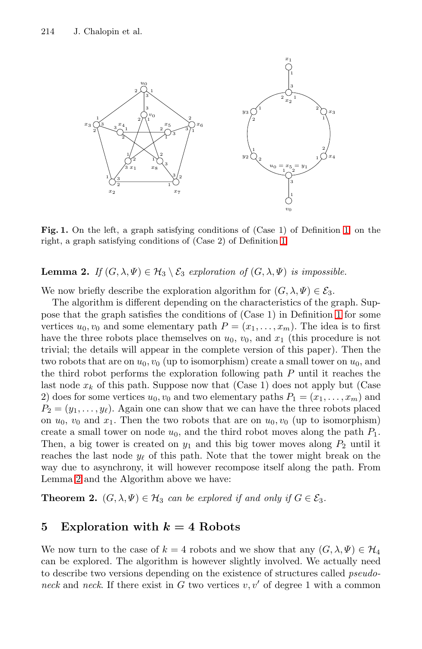

<span id="page-6-0"></span>Fig. 1. On the left, a graph satisfying conditions of [\(C](#page-5-1)ase 1) of Definition 1; on the right, a graph satisfying conditions of (Case 2) of Definition 1

**Lemma 2.** *If*  $(G, \lambda, \Psi) \in \mathcal{H}_3 \setminus \mathcal{E}_3$  *exploration of*  $(G, \lambda, \Psi)$  *is impossible.* 

We now briefly describe the exploration algorithm for  $(G, \lambda, \Psi) \in \mathcal{E}_3$ .

The algorithm is different depending on the characteristics of the graph. Suppose that the graph satisfies the conditions of (Case 1) in Definition 1 for some vertices  $u_0, v_0$  and some elementary path  $P = (x_1, \ldots, x_m)$ . The idea is to first have the three robots place themselves on  $u_0$ ,  $v_0$ , and  $x_1$  (this procedure is not trivial; the details will appear in the complete version of this paper). Then the two robots that are on  $u_0$ ,  $v_0$  (up to isomorphism) create a small tower on  $u_0$ , and the third robot performs the exploration following path  $P$  until it reaches the last node  $x_k$  of this path. Suppose now that (Case 1) does not apply but (Case 2) does for some vertices  $u_0, v_0$  and two elementary paths  $P_1 = (x_1, \ldots, x_m)$  and  $P_2 = (y_1, \ldots, y_\ell)$ . Again one can show that we can have the three robots placed on  $u_0$ ,  $v_0$  and  $x_1$ . Then the two robots that are on  $u_0$ ,  $v_0$  (up to isomorphism) create a small tower on node  $u_0$ , and the third robot moves along the path  $P_1$ . Then, a big tower is created on  $y_1$  and this big tower moves along  $P_2$  until it reaches the last node  $y_{\ell}$  of this path. Note that the tower might break on the way due to asynchrony, it will however recompose itself along the path. From Lemma 2 and the Algorithm above we have:

**Theorem 2.**  $(G, \lambda, \Psi) \in \mathcal{H}_3$  *can be explored if and only if*  $G \in \mathcal{E}_3$ *.* 

### **5 Exploration with** *k* **= 4 Robots**

We now turn to the case of  $k = 4$  robots and we show that any  $(G, \lambda, \Psi) \in \mathcal{H}_4$ can be explored. The algorithm is however slightly involved. We actually need to describe two versions depending on the existence of structures called *pseudoneck* and *neck*. If there exist in G two vertices  $v, v'$  of degree 1 with a common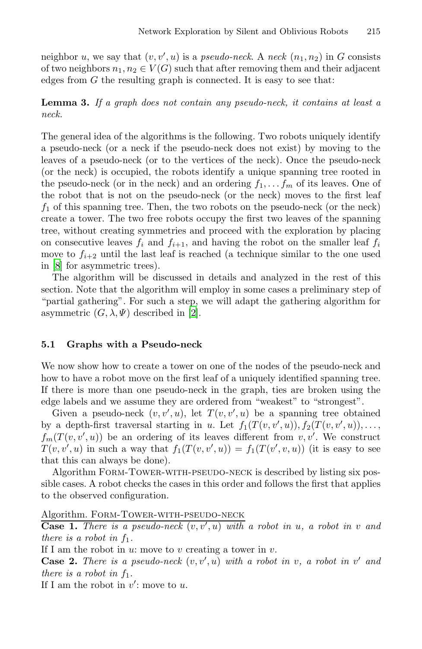neighbor u, we say that  $(v, v', u)$  is a *pseudo-neck*. A *neck*  $(n_1, n_2)$  in G consists of two neighbors  $n_1, n_2 \in V(G)$  such that after removing them and their adjacent edges from  $G$  the resulting graph is connected. It is easy to see that:

**Lemma 3.** *If a graph does not contain any pseudo-neck, it contains at least a neck.*

The general idea of the algorithms is the following. Two robots uniquely identify a pseudo-neck (or a neck if the pseudo-neck does not exist) by moving to the leaves of a pseudo-neck (or to the vertices of the neck). Once the pseudo-neck (or the neck) is occupied, the robots identify a unique spanning tree rooted in the pseudo-neck (or in the neck) and an ordering  $f_1, \ldots, f_m$  of its leaves. One of the robot that is not on the pseudo-neck (or the neck) moves to the first leaf  $f_1$  of this spanning tree. Then, the two robots on the pseudo-neck (or the neck) create a tower. [Th](#page-11-7)e two free robots occupy the first two leaves of the spanning tree, without creating symmetries and proceed with the exploration by placing on consecutive leaves  $f_i$  and  $f_{i+1}$ , and having the robot on the smaller leaf  $f_i$ move to  $f_{i+2}$  until the last leaf is reached (a technique similar to the one used in [8] for asymmetric trees).

<span id="page-7-0"></span>The algorithm will be discussed in details and analyzed in the rest of this section. Note that the algorithm will employ in some cases a preliminary step of "partial gathering". For such a step, we will adapt the gathering algorithm for asymmetric  $(G, \lambda, \Psi)$  described in [2].

#### **5.1 Graphs with a Pseudo-neck**

We now show how to create a tower on one of the nodes of the pseudo-neck and how to have a robot move on the first leaf of a uniquely identified spanning tree. If there is more than one pseudo-neck in the graph, ties are broken using the edge labels and we assume they are ordered from "weakest" to "strongest".

Given a pseudo-neck  $(v, v', u)$ , let  $T(v, v', u)$  be a spanning tree obtained by a depth-first traversal starting in u. Let  $f_1(T(v, v', u)), f_2(T(v, v', u)), \ldots$  $f_m(T(v, v', u))$  be an ordering of its leaves different from  $v, v'$ . We construct  $T(v, v', u)$  in such a way that  $f_1(T(v, v', u)) = f_1(T(v', v, u))$  (it is easy to see that this can always be done).

Algorithm Form-Tower-with-pseudo-neck is described by listing six possible cases. A robot checks the cases in this order and follows the first that applies to the observed configuration.

Algorithm. Form-Tower-with-pseudo-neck

**Case 1.** *There is a pseudo-neck*  $(v, v', u)$  *with a robot in*  $u$ , a robot in  $v$  and *there is a robot in*  $f_1$ *.* 

If I am the robot in  $u$ : move to  $v$  creating a tower in  $v$ .

**Case 2.** *There is a pseudo-neck*  $(v, v', u)$  *with a robot in* v, a robot in v' and *there is a robot in*  $f_1$ .

If I am the robot in  $v'$ : move to u.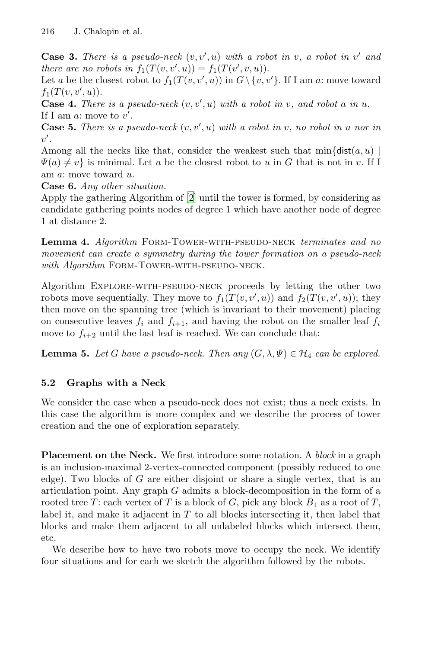**Case 3.** *There is a pseudo-neck*  $(v, v', u)$  *with a robot in*  $v$ , *a robot in*  $v'$  *and there are no robots in*  $f_1(T(v, v', u)) = f_1(T(v', v, u)).$ 

Let a be the closest robot to  $f_1(T(v, v', u))$  in  $G \setminus \{v, v'\}$ . If I am a: move toward  $f_1(T(v, v', u)).$ 

**Case 4.** *There [is](#page-11-7) a pseudo-neck*  $(v, v', u)$  *with a robot in* v, and robot a *in* u. If I am  $a$ : move to  $v'$ .

**Case 5.** There is a pseudo-neck  $(v, v', u)$  with a robot in v, no robot in u nor in  $v'.$ 

Among all the necks like that, consider the weakest such that  $min\{dist(a, u) |$  $\Psi(a) \neq v$  is minimal. Let a be the closest robot to u in G that is not in v. If I am a: move toward u.

**Case 6.** *Any other situation.*

Apply the gathering Algorithm of [2] until the tower is formed, by considering as candidate gathering points nodes of degree 1 which have another node of degree 1 at distance 2.

<span id="page-8-0"></span>**Lemma 4.** *Algorithm* Form-Tower-with-pseudo-neck *terminates and no movement can create a symmetry during the tower formation on a pseudo-neck with Algorithm* Form-Tower-with-pseudo-neck*.*

Algorithm Explore-with-pseudo-neck proceeds by letting the other two robots move sequentially. They move to  $f_1(T(v, v', u))$  and  $f_2(T(v, v', u))$ ; they then move on the spanning tree (which is invariant to their movement) placing on consecutive leaves  $f_i$  and  $f_{i+1}$ , and having the robot on the smaller leaf  $f_i$ move to  $f_{i+2}$  until the last leaf is reached. We can conclude that:

**Lemma 5.** *Let* G have a pseudo-neck. Then any  $(G, \lambda, \Psi) \in \mathcal{H}_4$  can be explored.

#### **5.2 Graphs with a Neck**

We consider the case when a pseudo-neck does not exist; thus a neck exists. In this case the algorithm is more complex and we describe the process of tower creation and the one of exploration separately.

**Placement on the Neck.** We first introduce some notation. A *block* in a graph is an inclusion-maximal 2-vertex-connected component (possibly reduced to one edge). Two blocks of  $G$  are either disjoint or share a single vertex, that is an articulation point. Any graph  $G$  admits a block-decomposition in the form of a rooted tree T: each vertex of T is a block of G, pick any block  $B_1$  as a root of T, label it, and make it adjacent in  $T$  to all blocks intersecting it, then label that blocks and make them adjacent to all unlabeled blocks which intersect them, etc.

We describe how to have two robots move to occupy the neck. We identify four situations and for each we sketch the algorithm followed by the robots.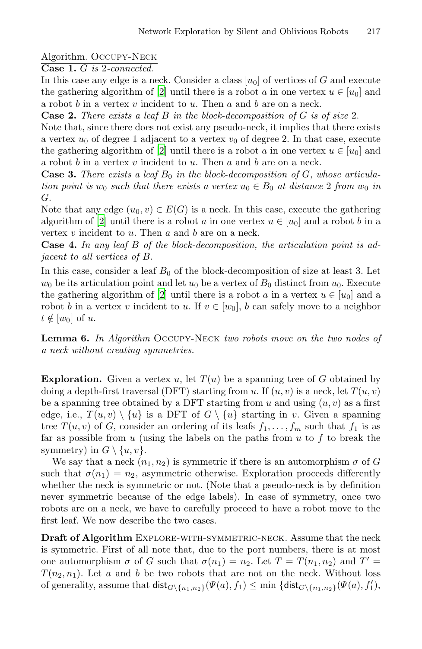## Algorith[m](#page-11-7). Occupy-Neck

#### **Case 1.** G *is* 2*-connected*.

In this case any edge is a neck. Consider a class  $[u_0]$  of vertices of G and execute the gathering algorithm of [2] until there is a robot a in one vertex  $u \in [u_0]$  and a robot  $b$  in a vertex  $v$  incident to  $u$ . Then  $a$  and  $b$  are on a neck.

**Case 2.** *There exists a leaf* B *in the block-decomposition of* G *is of size* 2.

Note that, since there does not exist any pseudo-neck, it implies that there exists a vertex  $u_0$  of degree 1 adjacent to a vertex  $v_0$  of degree 2. In that case, execute the gathering algorithm of [2] until there is a robot a in one vertex  $u \in [u_0]$  and a robot  $b$  in a vertex  $v$  incident to  $u$ . Then  $a$  and  $b$  are on a neck.

**Case 3.** There exists a leaf  $B_0$  in the block-decomposition of  $G$ , whose articula*tion point is*  $w_0$  *such that there exists a vertex*  $u_0 \in B_0$  *at distance* 2 *from*  $w_0$  *in* G.

Note th[at](#page-11-7) any edge  $(u_0, v) \in E(G)$  is a neck. In this case, execute the gathering algorithm of [2] until there is a robot a in one vertex  $u \in [u_0]$  and a robot b in a vertex  $v$  incident to  $u$ . Then  $a$  and  $b$  are on a neck.

**Case 4.** *In any leaf* B *of the block-decomposition, the articulation point is adjacent to all vertices of* B.

In this case, consider a leaf  $B_0$  of the block-decomposition of size at least 3. Let  $w_0$  be its articulation point and let  $u_0$  be a vertex of  $B_0$  distinct from  $u_0$ . Execute the gathering algorithm of [2] until there is a robot a in a vertex  $u \in [u_0]$  and a robot b in a vertex v incident to u. If  $v \in [w_0]$ , b can safely move to a neighbor  $t \notin [w_0]$  of u.

**Lemma 6.** *In Algorithm* Occupy-Neck *two robots move on the two nodes of a neck without creating symmetries.*

**Exploration.** Given a vertex u, let  $T(u)$  be a spanning tree of G obtained by doing a depth-first traversal (DFT) starting from u. If  $(u, v)$  is a neck, let  $T(u, v)$ be a spanning tree obtained by a DFT starting from u and using  $(u, v)$  as a first edge, i.e.,  $T(u, v) \setminus \{u\}$  is a DFT of  $G \setminus \{u\}$  starting in v. Given a spanning tree  $T(u, v)$  of G, consider an ordering of its leafs  $f_1, \ldots, f_m$  such that  $f_1$  is as far as possible from  $u$  (using the labels on the paths from  $u$  to  $f$  to break the symmetry) in  $G \setminus \{u, v\}.$ 

We say that a neck  $(n_1, n_2)$  is symmetric if there is an automorphism  $\sigma$  of G such that  $\sigma(n_1) = n_2$ , asymmetric otherwise. Exploration proceeds differently whether the neck is symmetric or not. (Note that a pseudo-neck is by definition never symmetric because of the edge labels). In case of symmetry, once two robots are on a neck, we have to carefully proceed to have a robot move to the first leaf. We now describe the two cases.

**Draft of Algorithm** EXPLORE-WITH-SYMMETRIC-NECK. Assume that the neck is symmetric. First of all note that, due to the port numbers, there is at most one automorphism  $\sigma$  of G such that  $\sigma(n_1) = n_2$ . Let  $T = T(n_1, n_2)$  and  $T' =$  $T(n_2, n_1)$ . Let a and b be two robots that are not on the neck. Without loss of generality, assume that  $\textsf{dist}_{G \setminus \{n_1, n_2\}}(\Psi(a), f_1) \le \min \{ \textsf{dist}_{G \setminus \{n_1, n_2\}}(\Psi(a), f_1'),$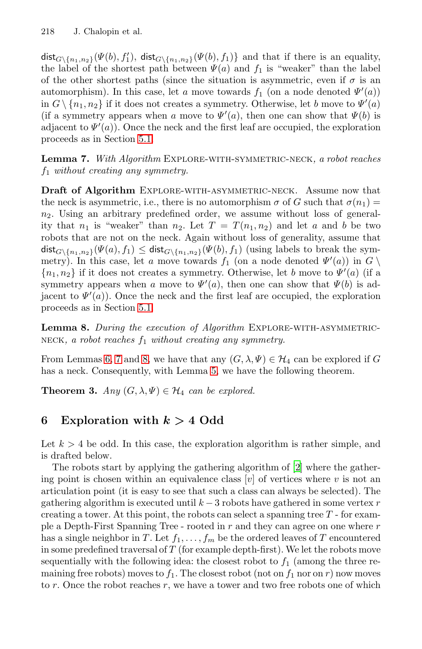dist<sub> $G\backslash{n_1,n_2}$ </sub> ( $\Psi(b), f'_1$ ), dist $\overline{G\backslash{n_1,n_2}}(\Psi(b), f_1)$  and that if there is an equality, the label of the shortest path between  $\Psi(a)$  and  $f_1$  is "weaker" than the label of the other shortest paths (since the situation is asymmetric, even if  $\sigma$  is an automorphism). In this case, let a move towards  $f_1$  (on a node denoted  $\Psi'(a)$ ) in  $G \setminus \{n_1, n_2\}$  if it does not creates a symmetry. Otherwise, let b move to  $\Psi'(a)$ (if a symmetry appears when a move to  $\Psi'(a)$ , then one can show that  $\Psi(b)$  is adjacent to  $\Psi'(a)$ ). Once the neck and the first leaf are occupied, the exploration proceeds as in Section 5.1.

**Lemma 7.** *With Algorithm* Explore-with-symmetric-neck*, a robot reaches* f<sup>1</sup> *without creating any symmetry.*

<span id="page-10-0"></span>**Draft of Algorithm** EXPLORE-WITH-ASYMMETRIC-NECK. Assume now that the neck is asymmetric, i.e., there is no automorphism  $\sigma$  of G such that  $\sigma(n_1)$  =  $n_2$ . [Usi](#page-7-0)ng an arbitrary predefined order, we assume without loss of generality that  $n_1$  is "weaker" than  $n_2$ . Let  $T = T(n_1, n_2)$  and let a and b be two robots that are not on the neck. Again without loss of generality, assume that  $\text{dist}_{G\setminus\{n_1,n_2\}}(\Psi(a),f_1)\leq \text{dist}_{G\setminus\{n_1,n_2\}}(\Psi(b),f_1)$  (using labels to break the symmetry). In this case, let a move towards  $f_1$  (on a node denoted  $\Psi'(a)$ ) in  $G \setminus$  ${n_1, n_2}$  ${n_1, n_2}$  ${n_1, n_2}$  if it does not creates a symmetry. Otherwise, let b move to  $\Psi'(a)$  (if a symmetry appears [wh](#page-8-0)en a move to  $\Psi'(a)$ , then one can show that  $\Psi(b)$  is adjacent to  $\Psi'(a)$ ). Once the neck and the first leaf are occupied, the exploration proceeds as in Section 5.1.

**Lemma 8.** *During the execution of Algorithm* Explore-with-asymmetricneck*, a robot reaches* f<sup>1</sup> *without creating any symmetry.*

From Lemmas 6, 7 and 8, we have that any  $(G, \lambda, \Psi) \in \mathcal{H}_4$  can be explored if G has a neck. Consequently, with Lemma [5,](#page-11-7) we have the following theorem.

**Theorem 3.** *Any*  $(G, \lambda, \Psi) \in \mathcal{H}_4$  *can be explored.* 

## **6** Exploration with  $k > 4$  Odd

Let  $k > 4$  be odd. In this case, the exploration algorithm is rather simple, and is drafted below.

The robots start by applying the gathering algorithm of [2] where the gathering point is chosen within an equivalence class  $[v]$  of vertices where v is not an articulation point (it is easy to see that such a class can always be selected). The gathering algorithm is executed until  $k-3$  robots have gathered in some vertex r creating a tower. At this point, the robots can select a spanning tree  $T$  - for example a Depth-First Spanning Tree - rooted in r and they can agree on one where r has a single neighbor in T. Let  $f_1, \ldots, f_m$  be the ordered leaves of T encountered in some predefined traversal of  $T$  (for example depth-first). We let the robots move sequentially with the following idea: the closest robot to  $f_1$  (among the three remaining free robots) moves to  $f_1$ . The closest robot (not on  $f_1$  nor on r) now moves to  $r$ . Once the robot reaches  $r$ , we have a tower and two free robots one of which